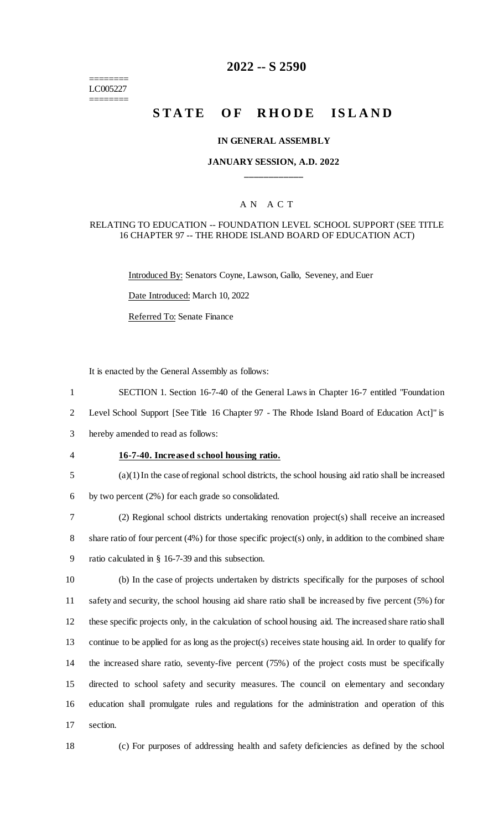======== LC005227 ========

# **2022 -- S 2590**

# STATE OF RHODE ISLAND

#### **IN GENERAL ASSEMBLY**

# **JANUARY SESSION, A.D. 2022 \_\_\_\_\_\_\_\_\_\_\_\_**

# A N A C T

#### RELATING TO EDUCATION -- FOUNDATION LEVEL SCHOOL SUPPORT (SEE TITLE 16 CHAPTER 97 -- THE RHODE ISLAND BOARD OF EDUCATION ACT)

Introduced By: Senators Coyne, Lawson, Gallo, Seveney, and Euer Date Introduced: March 10, 2022

Referred To: Senate Finance

It is enacted by the General Assembly as follows:

1 SECTION 1. Section 16-7-40 of the General Laws in Chapter 16-7 entitled "Foundation

2 Level School Support [See Title 16 Chapter 97 - The Rhode Island Board of Education Act]" is

3 hereby amended to read as follows:

#### 4 **16-7-40. Increased school housing ratio.**

5 (a)(1) In the case of regional school districts, the school housing aid ratio shall be increased

6 by two percent (2%) for each grade so consolidated.

7 (2) Regional school districts undertaking renovation project(s) shall receive an increased

8 share ratio of four percent (4%) for those specific project(s) only, in addition to the combined share 9 ratio calculated in § 16-7-39 and this subsection.

 (b) In the case of projects undertaken by districts specifically for the purposes of school safety and security, the school housing aid share ratio shall be increased by five percent (5%) for these specific projects only, in the calculation of school housing aid. The increased share ratio shall continue to be applied for as long as the project(s) receives state housing aid. In order to qualify for the increased share ratio, seventy-five percent (75%) of the project costs must be specifically directed to school safety and security measures. The council on elementary and secondary education shall promulgate rules and regulations for the administration and operation of this 17 section.

18 (c) For purposes of addressing health and safety deficiencies as defined by the school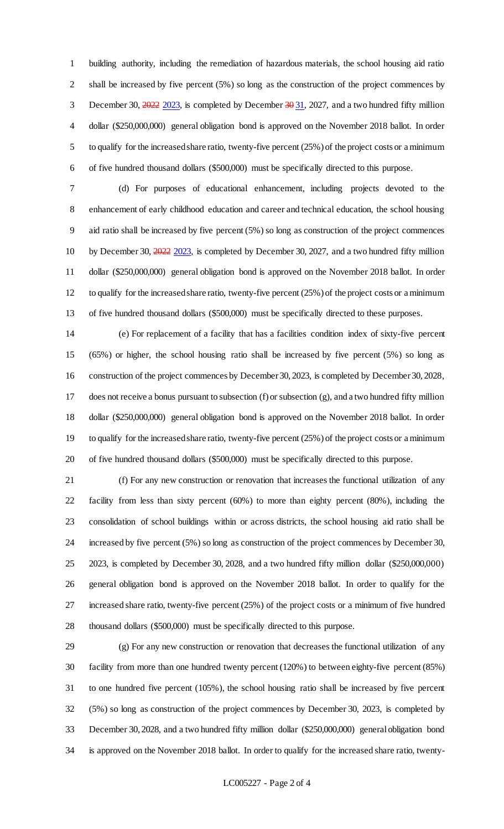building authority, including the remediation of hazardous materials, the school housing aid ratio 2 shall be increased by five percent (5%) so long as the construction of the project commences by 3 December 30,  $\frac{2022}{2023}$ , is completed by December  $\frac{30}{31}$ , 2027, and a two hundred fifty million dollar (\$250,000,000) general obligation bond is approved on the November 2018 ballot. In order to qualify for the increased share ratio, twenty-five percent (25%) of the project costs or a minimum of five hundred thousand dollars (\$500,000) must be specifically directed to this purpose.

 (d) For purposes of educational enhancement, including projects devoted to the enhancement of early childhood education and career and technical education, the school housing aid ratio shall be increased by five percent (5%) so long as construction of the project commences by December 30, 2022 2023, is completed by December 30, 2027, and a two hundred fifty million dollar (\$250,000,000) general obligation bond is approved on the November 2018 ballot. In order to qualify for the increased share ratio, twenty-five percent (25%) of the project costs or a minimum of five hundred thousand dollars (\$500,000) must be specifically directed to these purposes.

 (e) For replacement of a facility that has a facilities condition index of sixty-five percent (65%) or higher, the school housing ratio shall be increased by five percent (5%) so long as construction of the project commences by December 30, 2023, is completed by December 30, 2028, does not receive a bonus pursuant to subsection (f) or subsection (g), and a two hundred fifty million dollar (\$250,000,000) general obligation bond is approved on the November 2018 ballot. In order to qualify for the increased share ratio, twenty-five percent (25%) of the project costs or a minimum of five hundred thousand dollars (\$500,000) must be specifically directed to this purpose.

 (f) For any new construction or renovation that increases the functional utilization of any facility from less than sixty percent (60%) to more than eighty percent (80%), including the consolidation of school buildings within or across districts, the school housing aid ratio shall be increased by five percent (5%) so long as construction of the project commences by December 30, 2023, is completed by December 30, 2028, and a two hundred fifty million dollar (\$250,000,000) general obligation bond is approved on the November 2018 ballot. In order to qualify for the increased share ratio, twenty-five percent (25%) of the project costs or a minimum of five hundred thousand dollars (\$500,000) must be specifically directed to this purpose.

 (g) For any new construction or renovation that decreases the functional utilization of any facility from more than one hundred twenty percent (120%) to between eighty-five percent (85%) to one hundred five percent (105%), the school housing ratio shall be increased by five percent (5%) so long as construction of the project commences by December 30, 2023, is completed by December 30, 2028, and a two hundred fifty million dollar (\$250,000,000) general obligation bond is approved on the November 2018 ballot. In order to qualify for the increased share ratio, twenty-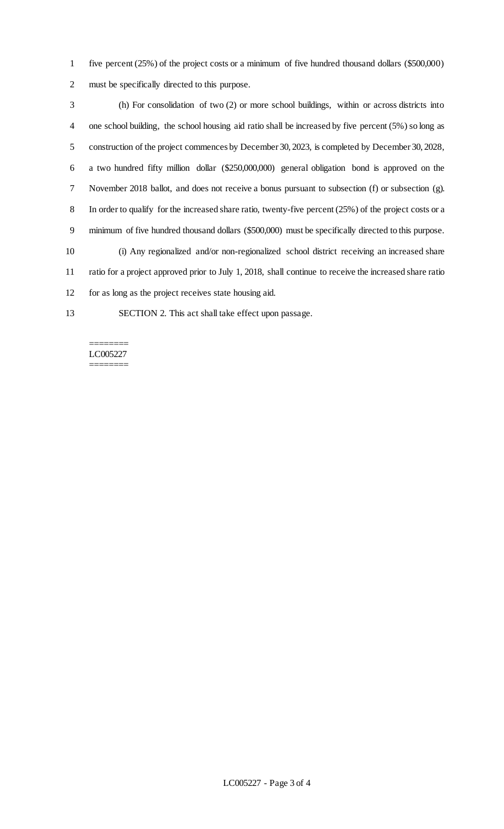five percent (25%) of the project costs or a minimum of five hundred thousand dollars (\$500,000) must be specifically directed to this purpose.

 (h) For consolidation of two (2) or more school buildings, within or across districts into one school building, the school housing aid ratio shall be increased by five percent (5%) so long as construction of the project commences by December 30, 2023, is completed by December 30, 2028, a two hundred fifty million dollar (\$250,000,000) general obligation bond is approved on the November 2018 ballot, and does not receive a bonus pursuant to subsection (f) or subsection (g). In order to qualify for the increased share ratio, twenty-five percent (25%) of the project costs or a minimum of five hundred thousand dollars (\$500,000) must be specifically directed to this purpose. (i) Any regionalized and/or non-regionalized school district receiving an increased share ratio for a project approved prior to July 1, 2018, shall continue to receive the increased share ratio for as long as the project receives state housing aid.

SECTION 2. This act shall take effect upon passage.

#### ======== LC005227 ========